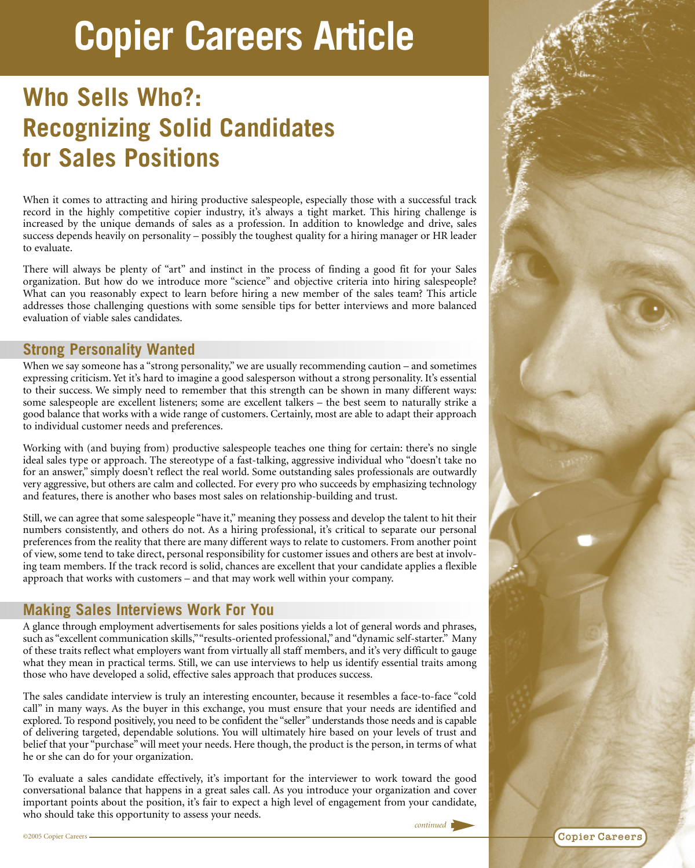# **Copier Careers Article**

# **Who Sells Who?: Recognizing Solid Candidates for Sales Positions**

When it comes to attracting and hiring productive salespeople, especially those with a successful track record in the highly competitive copier industry, it's always a tight market. This hiring challenge is increased by the unique demands of sales as a profession. In addition to knowledge and drive, sales success depends heavily on personality – possibly the toughest quality for a hiring manager or HR leader to evaluate.

There will always be plenty of "art" and instinct in the process of finding a good fit for your Sales organization. But how do we introduce more "science" and objective criteria into hiring salespeople? What can you reasonably expect to learn before hiring a new member of the sales team? This article addresses those challenging questions with some sensible tips for better interviews and more balanced evaluation of viable sales candidates.

#### **Strong Personality Wanted**

When we say someone has a "strong personality," we are usually recommending caution – and sometimes expressing criticism. Yet it's hard to imagine a good salesperson without a strong personality. It's essential to their success. We simply need to remember that this strength can be shown in many different ways: some salespeople are excellent listeners; some are excellent talkers – the best seem to naturally strike a good balance that works with a wide range of customers. Certainly, most are able to adapt their approach to individual customer needs and preferences.

Working with (and buying from) productive salespeople teaches one thing for certain: there's no single ideal sales type or approach. The stereotype of a fast-talking, aggressive individual who "doesn't take no for an answer," simply doesn't reflect the real world. Some outstanding sales professionals are outwardly very aggressive, but others are calm and collected. For every pro who succeeds by emphasizing technology and features, there is another who bases most sales on relationship-building and trust.

Still, we can agree that some salespeople "have it," meaning they possess and develop the talent to hit their numbers consistently, and others do not. As a hiring professional, it's critical to separate our personal preferences from the reality that there are many different ways to relate to customers. From another point of view, some tend to take direct, personal responsibility for customer issues and others are best at involving team members. If the track record is solid, chances are excellent that your candidate applies a flexible approach that works with customers – and that may work well within your company.

# **Making Sales Interviews Work For You**

A glance through employment advertisements for sales positions yields a lot of general words and phrases, such as "excellent communication skills,""results-oriented professional," and "dynamic self-starter." Many of these traits reflect what employers want from virtually all staff members, and it's very difficult to gauge what they mean in practical terms. Still, we can use interviews to help us identify essential traits among those who have developed a solid, effective sales approach that produces success.

The sales candidate interview is truly an interesting encounter, because it resembles a face-to-face "cold call" in many ways. As the buyer in this exchange, you must ensure that your needs are identified and explored. To respond positively, you need to be confident the "seller" understands those needs and is capable of delivering targeted, dependable solutions. You will ultimately hire based on your levels of trust and belief that your "purchase" will meet your needs. Here though, the product is the person, in terms of what he or she can do for your organization.

To evaluate a sales candidate effectively, it's important for the interviewer to work toward the good conversational balance that happens in a great sales call. As you introduce your organization and cover important points about the position, it's fair to expect a high level of engagement from your candidate, who should take this opportunity to assess your needs.